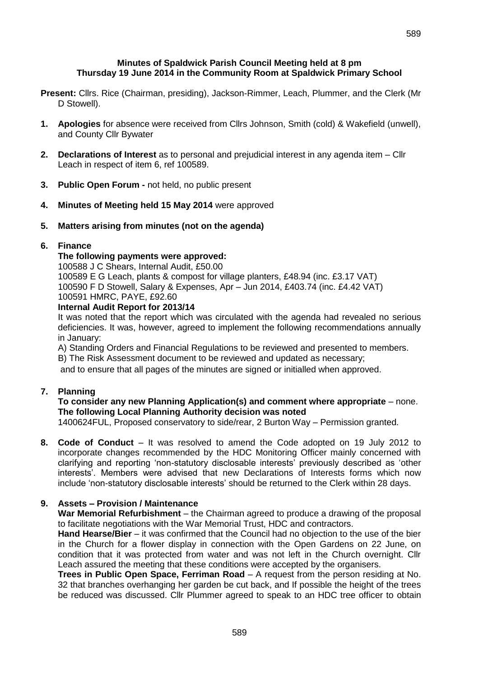#### **Minutes of Spaldwick Parish Council Meeting held at 8 pm Thursday 19 June 2014 in the Community Room at Spaldwick Primary School**

- **Present:** Cllrs. Rice (Chairman, presiding), Jackson-Rimmer, Leach, Plummer, and the Clerk (Mr D Stowell).
- **1. Apologies** for absence were received from Cllrs Johnson, Smith (cold) & Wakefield (unwell), and County Cllr Bywater
- **2. Declarations of Interest** as to personal and prejudicial interest in any agenda item Cllr Leach in respect of item 6, ref 100589.
- **3. Public Open Forum -** not held, no public present
- **4. Minutes of Meeting held 15 May 2014** were approved
- **5. Matters arising from minutes (not on the agenda)**

## **6. Finance**

### **The following payments were approved:**

100588 J C Shears, Internal Audit, £50.00 100589 E G Leach, plants & compost for village planters, £48.94 (inc. £3.17 VAT) 100590 F D Stowell, Salary & Expenses, Apr – Jun 2014, £403.74 (inc. £4.42 VAT) 100591 HMRC, PAYE, £92.60

### **Internal Audit Report for 2013/14**

It was noted that the report which was circulated with the agenda had revealed no serious deficiencies. It was, however, agreed to implement the following recommendations annually in January:

A) Standing Orders and Financial Regulations to be reviewed and presented to members.

B) The Risk Assessment document to be reviewed and updated as necessary;

and to ensure that all pages of the minutes are signed or initialled when approved.

# **7. Planning**

## **To consider any new Planning Application(s) and comment where appropriate** – none. **The following Local Planning Authority decision was noted**

1400624FUL, Proposed conservatory to side/rear, 2 Burton Way – Permission granted.

**8. Code of Conduct** – It was resolved to amend the Code adopted on 19 July 2012 to incorporate changes recommended by the HDC Monitoring Officer mainly concerned with clarifying and reporting 'non-statutory disclosable interests' previously described as 'other interests'. Members were advised that new Declarations of Interests forms which now include 'non-statutory disclosable interests' should be returned to the Clerk within 28 days.

# **9. Assets – Provision / Maintenance**

**War Memorial Refurbishment** – the Chairman agreed to produce a drawing of the proposal to facilitate negotiations with the War Memorial Trust, HDC and contractors.

**Hand Hearse/Bier** – it was confirmed that the Council had no objection to the use of the bier in the Church for a flower display in connection with the Open Gardens on 22 June, on condition that it was protected from water and was not left in the Church overnight. Cllr Leach assured the meeting that these conditions were accepted by the organisers.

**Trees in Public Open Space, Ferriman Road** – A request from the person residing at No. 32 that branches overhanging her garden be cut back, and If possible the height of the trees be reduced was discussed. Cllr Plummer agreed to speak to an HDC tree officer to obtain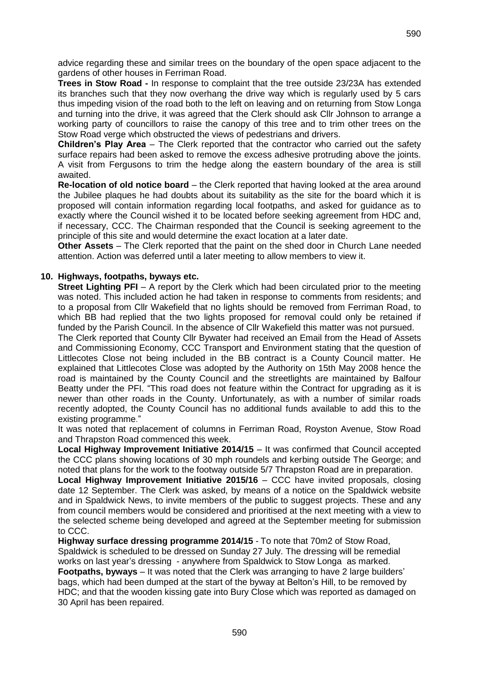advice regarding these and similar trees on the boundary of the open space adjacent to the gardens of other houses in Ferriman Road.

**Trees in Stow Road -** In response to complaint that the tree outside 23/23A has extended its branches such that they now overhang the drive way which is regularly used by 5 cars thus impeding vision of the road both to the left on leaving and on returning from Stow Longa and turning into the drive, it was agreed that the Clerk should ask Cllr Johnson to arrange a working party of councillors to raise the canopy of this tree and to trim other trees on the Stow Road verge which obstructed the views of pedestrians and drivers.

**Children's Play Area** – The Clerk reported that the contractor who carried out the safety surface repairs had been asked to remove the excess adhesive protruding above the joints. A visit from Fergusons to trim the hedge along the eastern boundary of the area is still awaited.

**Re-location of old notice board** – the Clerk reported that having looked at the area around the Jubilee plaques he had doubts about its suitability as the site for the board which it is proposed will contain information regarding local footpaths, and asked for guidance as to exactly where the Council wished it to be located before seeking agreement from HDC and, if necessary, CCC. The Chairman responded that the Council is seeking agreement to the principle of this site and would determine the exact location at a later date.

**Other Assets** – The Clerk reported that the paint on the shed door in Church Lane needed attention. Action was deferred until a later meeting to allow members to view it.

## **10. Highways, footpaths, byways etc.**

**Street Lighting PFI** – A report by the Clerk which had been circulated prior to the meeting was noted. This included action he had taken in response to comments from residents; and to a proposal from Cllr Wakefield that no lights should be removed from Ferriman Road, to which BB had replied that the two lights proposed for removal could only be retained if funded by the Parish Council. In the absence of Cllr Wakefield this matter was not pursued.

The Clerk reported that County Cllr Bywater had received an Email from the Head of Assets and Commissioning Economy, CCC Transport and Environment stating that the question of Littlecotes Close not being included in the BB contract is a County Council matter. He explained that Littlecotes Close was adopted by the Authority on 15th May 2008 hence the road is maintained by the County Council and the streetlights are maintained by Balfour Beatty under the PFI. "This road does not feature within the Contract for upgrading as it is newer than other roads in the County. Unfortunately, as with a number of similar roads recently adopted, the County Council has no additional funds available to add this to the existing programme."

It was noted that replacement of columns in Ferriman Road, Royston Avenue, Stow Road and Thrapston Road commenced this week.

**Local Highway Improvement Initiative 2014/15** – It was confirmed that Council accepted the CCC plans showing locations of 30 mph roundels and kerbing outside The George; and noted that plans for the work to the footway outside 5/7 Thrapston Road are in preparation.

**Local Highway Improvement Initiative 2015/16** – CCC have invited proposals, closing date 12 September. The Clerk was asked, by means of a notice on the Spaldwick website and in Spaldwick News, to invite members of the public to suggest projects. These and any from council members would be considered and prioritised at the next meeting with a view to the selected scheme being developed and agreed at the September meeting for submission to CCC.

**Highway surface dressing programme 2014/15** - To note that 70m2 of Stow Road, Spaldwick is scheduled to be dressed on Sunday 27 July. The dressing will be remedial works on last year's dressing - anywhere from Spaldwick to Stow Longa as marked. **Footpaths, byways** – It was noted that the Clerk was arranging to have 2 large builders' bags, which had been dumped at the start of the byway at Belton's Hill, to be removed by HDC; and that the wooden kissing gate into Bury Close which was reported as damaged on 30 April has been repaired.